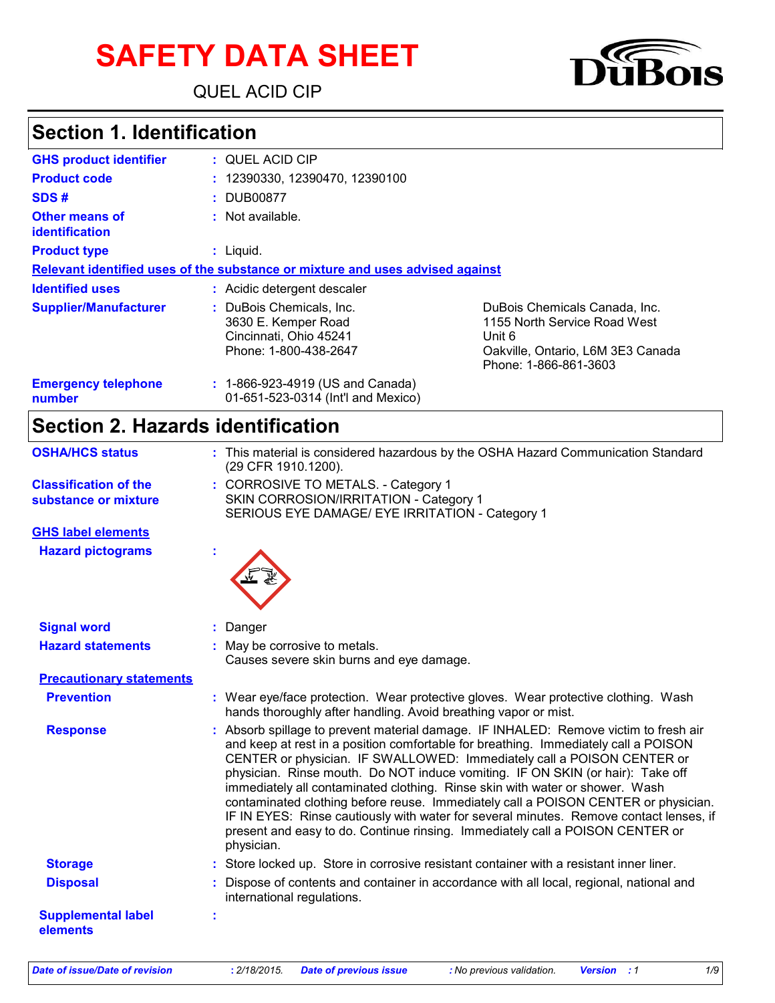# **SAFETY DATA SHEET**

QUEL ACID CIP



## **Section 1. Identification**

| <b>GHS product identifier</b>           | : QUEL ACID CIP                                                                                    |                                                                                                                                       |
|-----------------------------------------|----------------------------------------------------------------------------------------------------|---------------------------------------------------------------------------------------------------------------------------------------|
| <b>Product code</b>                     | : 12390330, 12390470, 12390100                                                                     |                                                                                                                                       |
| SDS#                                    | : DUB00877                                                                                         |                                                                                                                                       |
| Other means of<br><i>identification</i> | : Not available.                                                                                   |                                                                                                                                       |
| <b>Product type</b>                     | $:$ Liquid.                                                                                        |                                                                                                                                       |
|                                         | Relevant identified uses of the substance or mixture and uses advised against                      |                                                                                                                                       |
| <b>Identified uses</b>                  | : Acidic detergent descaler                                                                        |                                                                                                                                       |
| <b>Supplier/Manufacturer</b>            | : DuBois Chemicals, Inc.<br>3630 E. Kemper Road<br>Cincinnati, Ohio 45241<br>Phone: 1-800-438-2647 | DuBois Chemicals Canada, Inc.<br>1155 North Service Road West<br>Unit 6<br>Oakville, Ontario, L6M 3E3 Canada<br>Phone: 1-866-861-3603 |
| <b>Emergency telephone</b><br>number    | : 1-866-923-4919 (US and Canada)<br>01-651-523-0314 (Int'l and Mexico)                             |                                                                                                                                       |

# **Section 2. Hazards identification**

| <b>OSHA/HCS status</b>                | : This material is considered hazardous by the OSHA Hazard Communication Standard<br>(29 CFR 1910.1200).                                                                                                                                                                                                                                                                                                                                                                                                                                                                                                                                                                                               |
|---------------------------------------|--------------------------------------------------------------------------------------------------------------------------------------------------------------------------------------------------------------------------------------------------------------------------------------------------------------------------------------------------------------------------------------------------------------------------------------------------------------------------------------------------------------------------------------------------------------------------------------------------------------------------------------------------------------------------------------------------------|
| <b>Classification of the</b>          | : CORROSIVE TO METALS. - Category 1                                                                                                                                                                                                                                                                                                                                                                                                                                                                                                                                                                                                                                                                    |
| substance or mixture                  | SKIN CORROSION/IRRITATION - Category 1<br>SERIOUS EYE DAMAGE/ EYE IRRITATION - Category 1                                                                                                                                                                                                                                                                                                                                                                                                                                                                                                                                                                                                              |
| <b>GHS label elements</b>             |                                                                                                                                                                                                                                                                                                                                                                                                                                                                                                                                                                                                                                                                                                        |
| <b>Hazard pictograms</b>              |                                                                                                                                                                                                                                                                                                                                                                                                                                                                                                                                                                                                                                                                                                        |
| <b>Signal word</b>                    | : Danger                                                                                                                                                                                                                                                                                                                                                                                                                                                                                                                                                                                                                                                                                               |
| <b>Hazard statements</b>              | : May be corrosive to metals.<br>Causes severe skin burns and eye damage.                                                                                                                                                                                                                                                                                                                                                                                                                                                                                                                                                                                                                              |
| <b>Precautionary statements</b>       |                                                                                                                                                                                                                                                                                                                                                                                                                                                                                                                                                                                                                                                                                                        |
| <b>Prevention</b>                     | : Wear eye/face protection. Wear protective gloves. Wear protective clothing. Wash<br>hands thoroughly after handling. Avoid breathing vapor or mist.                                                                                                                                                                                                                                                                                                                                                                                                                                                                                                                                                  |
| <b>Response</b>                       | : Absorb spillage to prevent material damage. IF INHALED: Remove victim to fresh air<br>and keep at rest in a position comfortable for breathing. Immediately call a POISON<br>CENTER or physician. IF SWALLOWED: Immediately call a POISON CENTER or<br>physician. Rinse mouth. Do NOT induce vomiting. IF ON SKIN (or hair): Take off<br>immediately all contaminated clothing. Rinse skin with water or shower. Wash<br>contaminated clothing before reuse. Immediately call a POISON CENTER or physician.<br>IF IN EYES: Rinse cautiously with water for several minutes. Remove contact lenses, if<br>present and easy to do. Continue rinsing. Immediately call a POISON CENTER or<br>physician. |
| <b>Storage</b>                        | : Store locked up. Store in corrosive resistant container with a resistant inner liner.                                                                                                                                                                                                                                                                                                                                                                                                                                                                                                                                                                                                                |
| <b>Disposal</b>                       | Dispose of contents and container in accordance with all local, regional, national and<br>international regulations.                                                                                                                                                                                                                                                                                                                                                                                                                                                                                                                                                                                   |
| <b>Supplemental label</b><br>elements |                                                                                                                                                                                                                                                                                                                                                                                                                                                                                                                                                                                                                                                                                                        |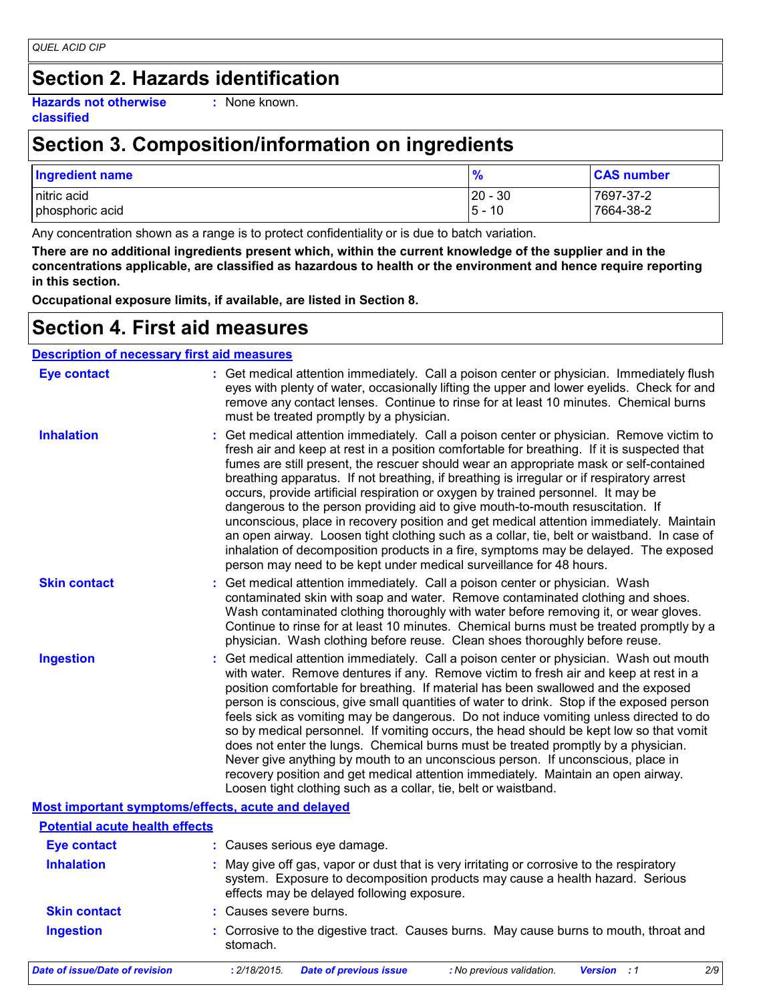### **Section 2. Hazards identification**

**Hazards not otherwise classified**

**:** None known.

# **Section 3. Composition/information on ingredients**

| <b>Ingredient name</b>          | $\frac{9}{6}$                 | <b>CAS number</b>      |
|---------------------------------|-------------------------------|------------------------|
| Initric acid<br>phosphoric acid | $20 - 30$<br><u>5 -</u><br>10 | 7697-37-2<br>7664-38-2 |

Any concentration shown as a range is to protect confidentiality or is due to batch variation.

**There are no additional ingredients present which, within the current knowledge of the supplier and in the concentrations applicable, are classified as hazardous to health or the environment and hence require reporting in this section.**

**Occupational exposure limits, if available, are listed in Section 8.**

### **Section 4. First aid measures**

#### **Description of necessary first aid measures**

| <b>Eye contact</b>                                 | : Get medical attention immediately. Call a poison center or physician. Immediately flush<br>eyes with plenty of water, occasionally lifting the upper and lower eyelids. Check for and<br>remove any contact lenses. Continue to rinse for at least 10 minutes. Chemical burns<br>must be treated promptly by a physician.                                                                                                                                                                                                                                                                                                                                                                                                                                                                                                                                                                                  |
|----------------------------------------------------|--------------------------------------------------------------------------------------------------------------------------------------------------------------------------------------------------------------------------------------------------------------------------------------------------------------------------------------------------------------------------------------------------------------------------------------------------------------------------------------------------------------------------------------------------------------------------------------------------------------------------------------------------------------------------------------------------------------------------------------------------------------------------------------------------------------------------------------------------------------------------------------------------------------|
| <b>Inhalation</b>                                  | : Get medical attention immediately. Call a poison center or physician. Remove victim to<br>fresh air and keep at rest in a position comfortable for breathing. If it is suspected that<br>fumes are still present, the rescuer should wear an appropriate mask or self-contained<br>breathing apparatus. If not breathing, if breathing is irregular or if respiratory arrest<br>occurs, provide artificial respiration or oxygen by trained personnel. It may be<br>dangerous to the person providing aid to give mouth-to-mouth resuscitation. If<br>unconscious, place in recovery position and get medical attention immediately. Maintain<br>an open airway. Loosen tight clothing such as a collar, tie, belt or waistband. In case of<br>inhalation of decomposition products in a fire, symptoms may be delayed. The exposed<br>person may need to be kept under medical surveillance for 48 hours. |
| <b>Skin contact</b>                                | : Get medical attention immediately. Call a poison center or physician. Wash<br>contaminated skin with soap and water. Remove contaminated clothing and shoes.<br>Wash contaminated clothing thoroughly with water before removing it, or wear gloves.<br>Continue to rinse for at least 10 minutes. Chemical burns must be treated promptly by a<br>physician. Wash clothing before reuse. Clean shoes thoroughly before reuse.                                                                                                                                                                                                                                                                                                                                                                                                                                                                             |
| <b>Ingestion</b>                                   | : Get medical attention immediately. Call a poison center or physician. Wash out mouth<br>with water. Remove dentures if any. Remove victim to fresh air and keep at rest in a<br>position comfortable for breathing. If material has been swallowed and the exposed<br>person is conscious, give small quantities of water to drink. Stop if the exposed person<br>feels sick as vomiting may be dangerous. Do not induce vomiting unless directed to do<br>so by medical personnel. If vomiting occurs, the head should be kept low so that vomit<br>does not enter the lungs. Chemical burns must be treated promptly by a physician.<br>Never give anything by mouth to an unconscious person. If unconscious, place in<br>recovery position and get medical attention immediately. Maintain an open airway.<br>Loosen tight clothing such as a collar, tie, belt or waistband.                          |
| Most important symptoms/effects, acute and delayed |                                                                                                                                                                                                                                                                                                                                                                                                                                                                                                                                                                                                                                                                                                                                                                                                                                                                                                              |
| <b>Potential acute health effects</b>              |                                                                                                                                                                                                                                                                                                                                                                                                                                                                                                                                                                                                                                                                                                                                                                                                                                                                                                              |
| <b>Eye contact</b>                                 | : Causes serious eye damage.                                                                                                                                                                                                                                                                                                                                                                                                                                                                                                                                                                                                                                                                                                                                                                                                                                                                                 |
| المتماثلة والمساميل                                | . Mai ciudad participat di di di latin initativa caraccerta de de concentrativa                                                                                                                                                                                                                                                                                                                                                                                                                                                                                                                                                                                                                                                                                                                                                                                                                              |

| <b>Inhalation</b>   | : May give off gas, vapor or dust that is very irritating or corrosive to the respiratory<br>system. Exposure to decomposition products may cause a health hazard. Serious<br>effects may be delayed following exposure. |
|---------------------|--------------------------------------------------------------------------------------------------------------------------------------------------------------------------------------------------------------------------|
| <b>Skin contact</b> | : Causes severe burns.                                                                                                                                                                                                   |
| <b>Ingestion</b>    | : Corrosive to the digestive tract. Causes burns. May cause burns to mouth, throat and                                                                                                                                   |

*Date of issue/Date of revision* **:** *2/18/2015. Date of previous issue : No previous validation. Version : 1 2/9*

stomach.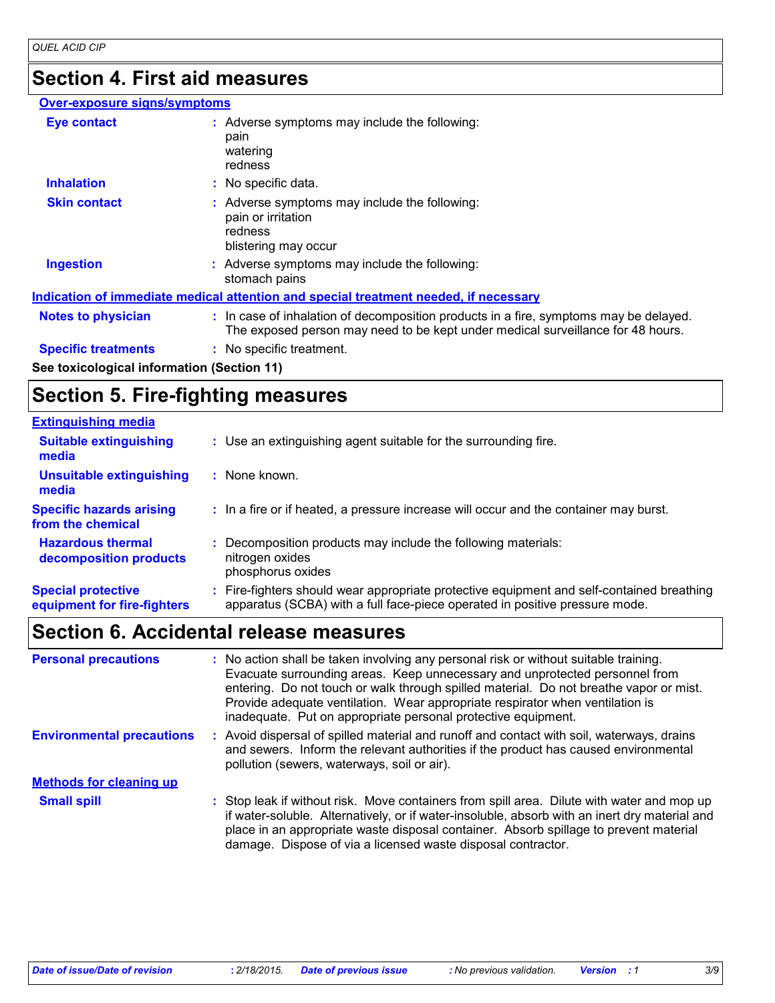### **Section 4. First aid measures**

#### **Over-exposure signs/symptoms**

| <b>Eye contact</b>                         | : Adverse symptoms may include the following:<br>pain<br>watering<br>redness                                                                                             |
|--------------------------------------------|--------------------------------------------------------------------------------------------------------------------------------------------------------------------------|
| <b>Inhalation</b>                          | : No specific data.                                                                                                                                                      |
| <b>Skin contact</b>                        | : Adverse symptoms may include the following:<br>pain or irritation<br>redness<br>blistering may occur                                                                   |
| <b>Ingestion</b>                           | : Adverse symptoms may include the following:<br>stomach pains                                                                                                           |
|                                            | Indication of immediate medical attention and special treatment needed, if necessary                                                                                     |
| <b>Notes to physician</b>                  | : In case of inhalation of decomposition products in a fire, symptoms may be delayed.<br>The exposed person may need to be kept under medical surveillance for 48 hours. |
| <b>Specific treatments</b>                 | : No specific treatment.                                                                                                                                                 |
| See toxicological information (Section 11) |                                                                                                                                                                          |

# **Section 5. Fire-fighting measures**

| <b>Extinguishing media</b>                               |                                                                                                                                                                        |
|----------------------------------------------------------|------------------------------------------------------------------------------------------------------------------------------------------------------------------------|
| <b>Suitable extinguishing</b><br>media                   | : Use an extinguishing agent suitable for the surrounding fire.                                                                                                        |
| Unsuitable extinguishing<br>media                        | : None known.                                                                                                                                                          |
| <b>Specific hazards arising</b><br>from the chemical     | : In a fire or if heated, a pressure increase will occur and the container may burst.                                                                                  |
| <b>Hazardous thermal</b><br>decomposition products       | Decomposition products may include the following materials:<br>nitrogen oxides<br>phosphorus oxides                                                                    |
| <b>Special protective</b><br>equipment for fire-fighters | Fire-fighters should wear appropriate protective equipment and self-contained breathing<br>apparatus (SCBA) with a full face-piece operated in positive pressure mode. |

# **Section 6. Accidental release measures**

| <b>Personal precautions</b>      | : No action shall be taken involving any personal risk or without suitable training.<br>Evacuate surrounding areas. Keep unnecessary and unprotected personnel from<br>entering. Do not touch or walk through spilled material. Do not breathe vapor or mist.<br>Provide adequate ventilation. Wear appropriate respirator when ventilation is<br>inadequate. Put on appropriate personal protective equipment. |
|----------------------------------|-----------------------------------------------------------------------------------------------------------------------------------------------------------------------------------------------------------------------------------------------------------------------------------------------------------------------------------------------------------------------------------------------------------------|
| <b>Environmental precautions</b> | Avoid dispersal of spilled material and runoff and contact with soil, waterways, drains<br>and sewers. Inform the relevant authorities if the product has caused environmental<br>pollution (sewers, waterways, soil or air).                                                                                                                                                                                   |
| <b>Methods for cleaning up</b>   |                                                                                                                                                                                                                                                                                                                                                                                                                 |
| <b>Small spill</b>               | : Stop leak if without risk. Move containers from spill area. Dilute with water and mop up<br>if water-soluble. Alternatively, or if water-insoluble, absorb with an inert dry material and<br>place in an appropriate waste disposal container. Absorb spillage to prevent material<br>damage. Dispose of via a licensed waste disposal contractor.                                                            |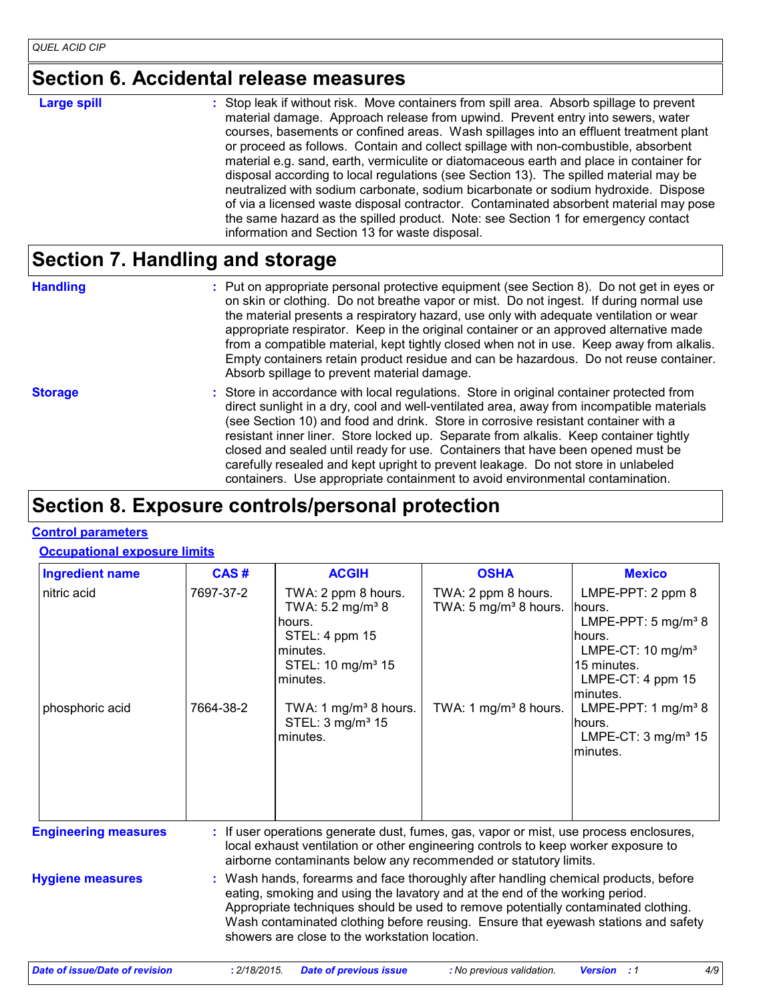### **Section 6. Accidental release measures**

| Π<br>o<br>- 1<br>s |  |
|--------------------|--|
|--------------------|--|

**Large spill Example 1 :** Stop leak if without risk. Move containers from spill area. Absorb spillage to prevent material damage. Approach release from upwind. Prevent entry into sewers, water courses, basements or confined areas. Wash spillages into an effluent treatment plant or proceed as follows. Contain and collect spillage with non-combustible, absorbent material e.g. sand, earth, vermiculite or diatomaceous earth and place in container for disposal according to local regulations (see Section 13). The spilled material may be neutralized with sodium carbonate, sodium bicarbonate or sodium hydroxide. Dispose of via a licensed waste disposal contractor. Contaminated absorbent material may pose the same hazard as the spilled product. Note: see Section 1 for emergency contact information and Section 13 for waste disposal.

### **Section 7. Handling and storage**

**Handling** entries a metal on appropriate personal protective equipment (see Section 8). Do not get in eyes or and on skin or clothing. Do not breathe vapor or mist. Do not ingest. If during normal use the material presents a respiratory hazard, use only with adequate ventilation or wear appropriate respirator. Keep in the original container or an approved alternative made from a compatible material, kept tightly closed when not in use. Keep away from alkalis. Empty containers retain product residue and can be hazardous. Do not reuse container. Absorb spillage to prevent material damage.

**Storage** Store in accordance with local regulations. Store in original container protected from direct sunlight in a dry, cool and well-ventilated area, away from incompatible materials (see Section 10) and food and drink. Store in corrosive resistant container with a resistant inner liner. Store locked up. Separate from alkalis. Keep container tightly closed and sealed until ready for use. Containers that have been opened must be carefully resealed and kept upright to prevent leakage. Do not store in unlabeled containers. Use appropriate containment to avoid environmental contamination.

### **Section 8. Exposure controls/personal protection**

#### **Control parameters**

#### **Occupational exposure limits**

| <b>Ingredient name</b>                | CAS#         | <b>ACGIH</b>                                                                                                                                                                                                                                                                                                                                                                                    | <b>OSHA</b>                                             | <b>Mexico</b>                                                                                                                                  |
|---------------------------------------|--------------|-------------------------------------------------------------------------------------------------------------------------------------------------------------------------------------------------------------------------------------------------------------------------------------------------------------------------------------------------------------------------------------------------|---------------------------------------------------------|------------------------------------------------------------------------------------------------------------------------------------------------|
| nitric acid                           | 7697-37-2    | TWA: 2 ppm 8 hours.<br>TWA: 5.2 mg/m <sup>3</sup> 8<br>hours.<br>STEL: 4 ppm 15<br>minutes.<br>STEL: 10 mg/m <sup>3</sup> 15<br>minutes.                                                                                                                                                                                                                                                        | TWA: 2 ppm 8 hours.<br>TWA: $5 \text{ mg/m}^3$ 8 hours. | LMPE-PPT: 2 ppm 8<br>lhours.<br>LMPE-PPT: $5 \text{ mg/m}^3$ 8<br>hours.<br>LMPE-CT: $10 \text{ mg/m}^3$<br>15 minutes.<br>LMPE-CT: 4 ppm $15$ |
| phosphoric acid                       | 7664-38-2    | TWA: 1 $mg/m3$ 8 hours.<br>STEL: 3 mg/m <sup>3</sup> 15<br>minutes.                                                                                                                                                                                                                                                                                                                             | TWA: 1 mg/m <sup>3</sup> 8 hours.                       | minutes.<br>LMPE-PPT: 1 $mg/m^3$ 8<br>hours.<br>LMPE-CT: 3 mg/m <sup>3</sup> 15<br>minutes.                                                    |
| <b>Engineering measures</b>           |              | If user operations generate dust, fumes, gas, vapor or mist, use process enclosures,<br>local exhaust ventilation or other engineering controls to keep worker exposure to<br>airborne contaminants below any recommended or statutory limits.                                                                                                                                                  |                                                         |                                                                                                                                                |
| <b>Hygiene measures</b>               |              | Wash hands, forearms and face thoroughly after handling chemical products, before<br>eating, smoking and using the lavatory and at the end of the working period.<br>Appropriate techniques should be used to remove potentially contaminated clothing.<br>Wash contaminated clothing before reusing. Ensure that eyewash stations and safety<br>showers are close to the workstation location. |                                                         |                                                                                                                                                |
| <b>Date of issue/Date of revision</b> | : 2/18/2015. | <b>Date of previous issue</b>                                                                                                                                                                                                                                                                                                                                                                   | : No previous validation.                               | 4/9<br><b>Version</b><br>$\cdot$ :1                                                                                                            |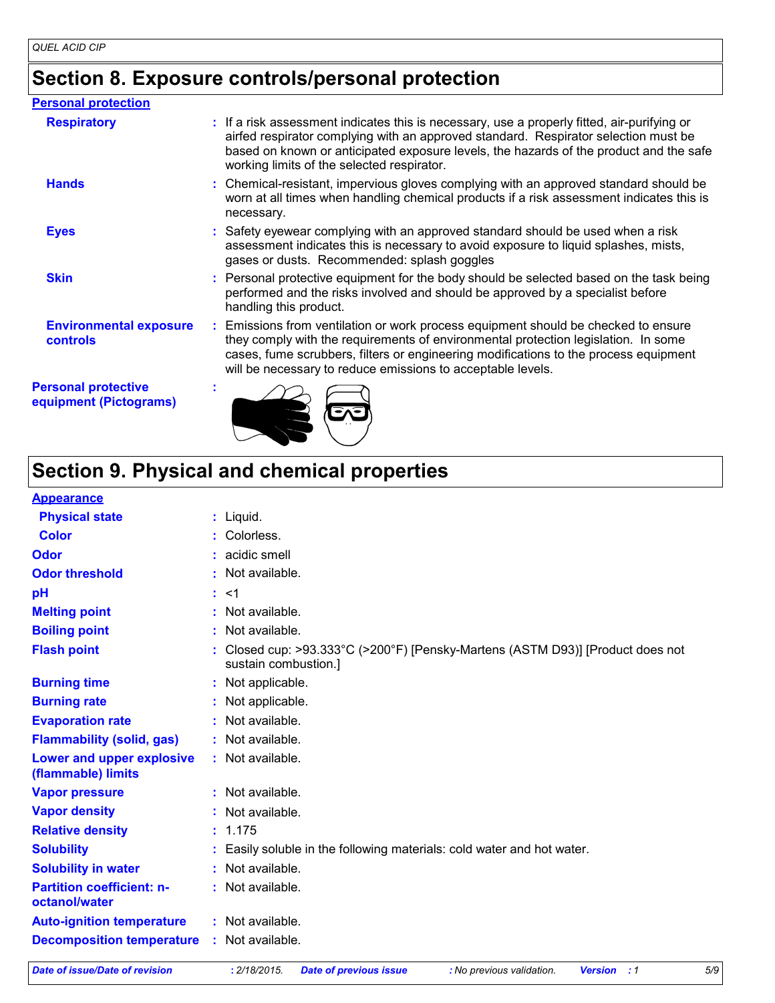# **Section 8. Exposure controls/personal protection**

| <b>Personal protection</b>                           |                                                                                                                                                                                                                                                                                                                                 |
|------------------------------------------------------|---------------------------------------------------------------------------------------------------------------------------------------------------------------------------------------------------------------------------------------------------------------------------------------------------------------------------------|
| <b>Respiratory</b>                                   | : If a risk assessment indicates this is necessary, use a properly fitted, air-purifying or<br>airfed respirator complying with an approved standard. Respirator selection must be<br>based on known or anticipated exposure levels, the hazards of the product and the safe<br>working limits of the selected respirator.      |
| <b>Hands</b>                                         | : Chemical-resistant, impervious gloves complying with an approved standard should be<br>worn at all times when handling chemical products if a risk assessment indicates this is<br>necessary.                                                                                                                                 |
| <b>Eyes</b>                                          | : Safety eyewear complying with an approved standard should be used when a risk<br>assessment indicates this is necessary to avoid exposure to liquid splashes, mists,<br>gases or dusts. Recommended: splash goggles                                                                                                           |
| <b>Skin</b>                                          | : Personal protective equipment for the body should be selected based on the task being<br>performed and the risks involved and should be approved by a specialist before<br>handling this product.                                                                                                                             |
| <b>Environmental exposure</b><br>controls            | : Emissions from ventilation or work process equipment should be checked to ensure<br>they comply with the requirements of environmental protection legislation. In some<br>cases, fume scrubbers, filters or engineering modifications to the process equipment<br>will be necessary to reduce emissions to acceptable levels. |
| <b>Personal protective</b><br>equipment (Pictograms) |                                                                                                                                                                                                                                                                                                                                 |

# **Section 9. Physical and chemical properties**

| <b>Appearance</b>                                 |                                                                                                      |
|---------------------------------------------------|------------------------------------------------------------------------------------------------------|
| <b>Physical state</b>                             | $:$ Liquid.                                                                                          |
| <b>Color</b>                                      | : Colorless.                                                                                         |
| Odor                                              | : acidic smell                                                                                       |
| <b>Odor threshold</b>                             | $:$ Not available.                                                                                   |
| pH                                                | : 15                                                                                                 |
| <b>Melting point</b>                              | : Not available.                                                                                     |
| <b>Boiling point</b>                              | : Not available.                                                                                     |
| <b>Flash point</b>                                | Closed cup: >93.333°C (>200°F) [Pensky-Martens (ASTM D93)] [Product does not<br>sustain combustion.] |
| <b>Burning time</b>                               | : Not applicable.                                                                                    |
| <b>Burning rate</b>                               | : Not applicable.                                                                                    |
| <b>Evaporation rate</b>                           | : Not available.                                                                                     |
| <b>Flammability (solid, gas)</b>                  | : Not available.                                                                                     |
| Lower and upper explosive<br>(flammable) limits   | : Not available.                                                                                     |
| <b>Vapor pressure</b>                             | : Not available.                                                                                     |
| <b>Vapor density</b>                              | : Not available.                                                                                     |
| <b>Relative density</b>                           | : 1.175                                                                                              |
| <b>Solubility</b>                                 | : Easily soluble in the following materials: cold water and hot water.                               |
| <b>Solubility in water</b>                        | : Not available.                                                                                     |
| <b>Partition coefficient: n-</b><br>octanol/water | : Not available.                                                                                     |
| <b>Auto-ignition temperature</b>                  | : Not available.                                                                                     |
| <b>Decomposition temperature</b>                  | : Not available.                                                                                     |

*Date of issue/Date of revision* **:** *2/18/2015. Date of previous issue : No previous validation. Version : 1 5/9*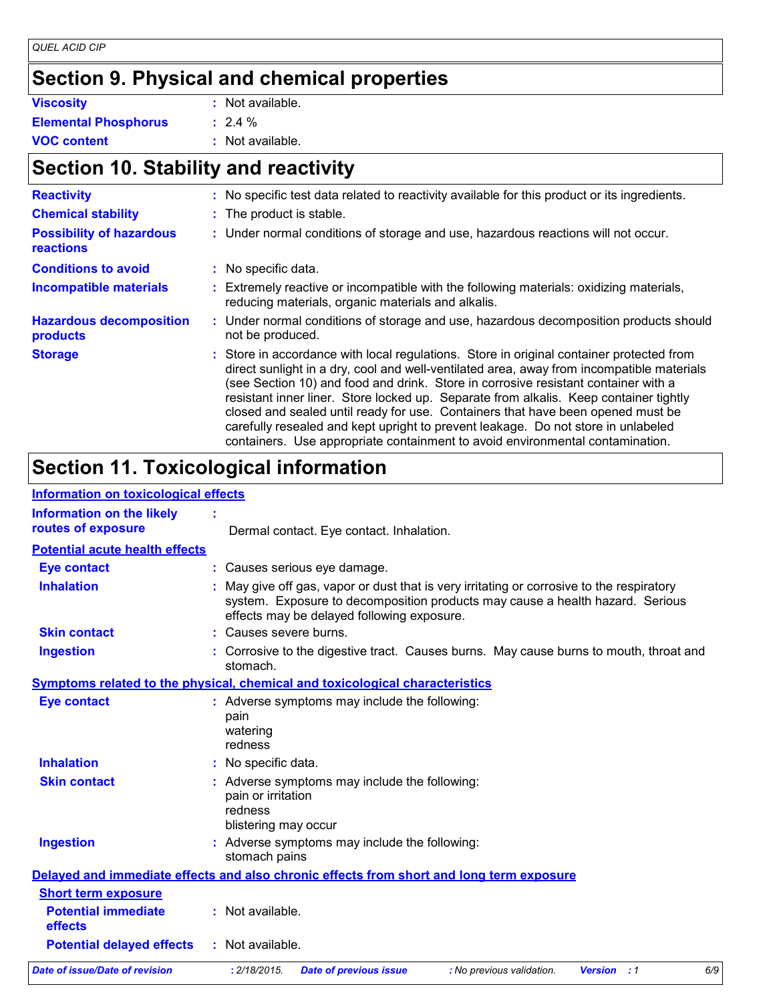# **Section 9. Physical and chemical properties**

| <b>Viscosity</b>            | : Not available. |
|-----------------------------|------------------|
| <b>Elemental Phosphorus</b> | $: 2.4 \%$       |
| <b>VOC content</b>          | : Not available. |

# **Section 10. Stability and reactivity**

| <b>Reactivity</b>                            | : No specific test data related to reactivity available for this product or its ingredients.                                                                                                                                                                                                                                                                                                                                                                                                                                                                                                                                  |
|----------------------------------------------|-------------------------------------------------------------------------------------------------------------------------------------------------------------------------------------------------------------------------------------------------------------------------------------------------------------------------------------------------------------------------------------------------------------------------------------------------------------------------------------------------------------------------------------------------------------------------------------------------------------------------------|
| <b>Chemical stability</b>                    | : The product is stable.                                                                                                                                                                                                                                                                                                                                                                                                                                                                                                                                                                                                      |
| <b>Possibility of hazardous</b><br>reactions | : Under normal conditions of storage and use, hazardous reactions will not occur.                                                                                                                                                                                                                                                                                                                                                                                                                                                                                                                                             |
| <b>Conditions to avoid</b>                   | : No specific data.                                                                                                                                                                                                                                                                                                                                                                                                                                                                                                                                                                                                           |
| <b>Incompatible materials</b>                | Extremely reactive or incompatible with the following materials: oxidizing materials,<br>reducing materials, organic materials and alkalis.                                                                                                                                                                                                                                                                                                                                                                                                                                                                                   |
| <b>Hazardous decomposition</b><br>products   | : Under normal conditions of storage and use, hazardous decomposition products should<br>not be produced.                                                                                                                                                                                                                                                                                                                                                                                                                                                                                                                     |
| <b>Storage</b>                               | : Store in accordance with local regulations. Store in original container protected from<br>direct sunlight in a dry, cool and well-ventilated area, away from incompatible materials<br>(see Section 10) and food and drink. Store in corrosive resistant container with a<br>resistant inner liner. Store locked up. Separate from alkalis. Keep container tightly<br>closed and sealed until ready for use. Containers that have been opened must be<br>carefully resealed and kept upright to prevent leakage. Do not store in unlabeled<br>containers. Use appropriate containment to avoid environmental contamination. |

# **Section 11. Toxicological information**

#### **Information on toxicological effects**

| <b>Information on the likely</b>      |                                                                                                                                                                                                                        |
|---------------------------------------|------------------------------------------------------------------------------------------------------------------------------------------------------------------------------------------------------------------------|
| routes of exposure                    | Dermal contact. Eye contact. Inhalation.                                                                                                                                                                               |
| <b>Potential acute health effects</b> |                                                                                                                                                                                                                        |
| <b>Eye contact</b>                    | : Causes serious eye damage.                                                                                                                                                                                           |
| <b>Inhalation</b>                     | May give off gas, vapor or dust that is very irritating or corrosive to the respiratory<br>system. Exposure to decomposition products may cause a health hazard. Serious<br>effects may be delayed following exposure. |
| <b>Skin contact</b>                   | : Causes severe burns.                                                                                                                                                                                                 |
| <b>Ingestion</b>                      | : Corrosive to the digestive tract. Causes burns. May cause burns to mouth, throat and<br>stomach.                                                                                                                     |
|                                       | Symptoms related to the physical, chemical and toxicological characteristics                                                                                                                                           |
| <b>Eye contact</b>                    | : Adverse symptoms may include the following:<br>pain<br>watering<br>redness                                                                                                                                           |
| <b>Inhalation</b>                     | : No specific data.                                                                                                                                                                                                    |
| <b>Skin contact</b>                   | : Adverse symptoms may include the following:<br>pain or irritation<br>redness<br>blistering may occur                                                                                                                 |
| <b>Ingestion</b>                      | : Adverse symptoms may include the following:<br>stomach pains                                                                                                                                                         |
|                                       | Delayed and immediate effects and also chronic effects from short and long term exposure                                                                                                                               |
| <b>Short term exposure</b>            |                                                                                                                                                                                                                        |
| <b>Potential immediate</b><br>effects | : Not available.                                                                                                                                                                                                       |
| <b>Potential delayed effects</b>      | : Not available.                                                                                                                                                                                                       |
| Date of issue/Date of revision        | : 2/18/2015.<br>6/9<br><b>Date of previous issue</b><br>: No previous validation.<br><b>Version</b> : 1                                                                                                                |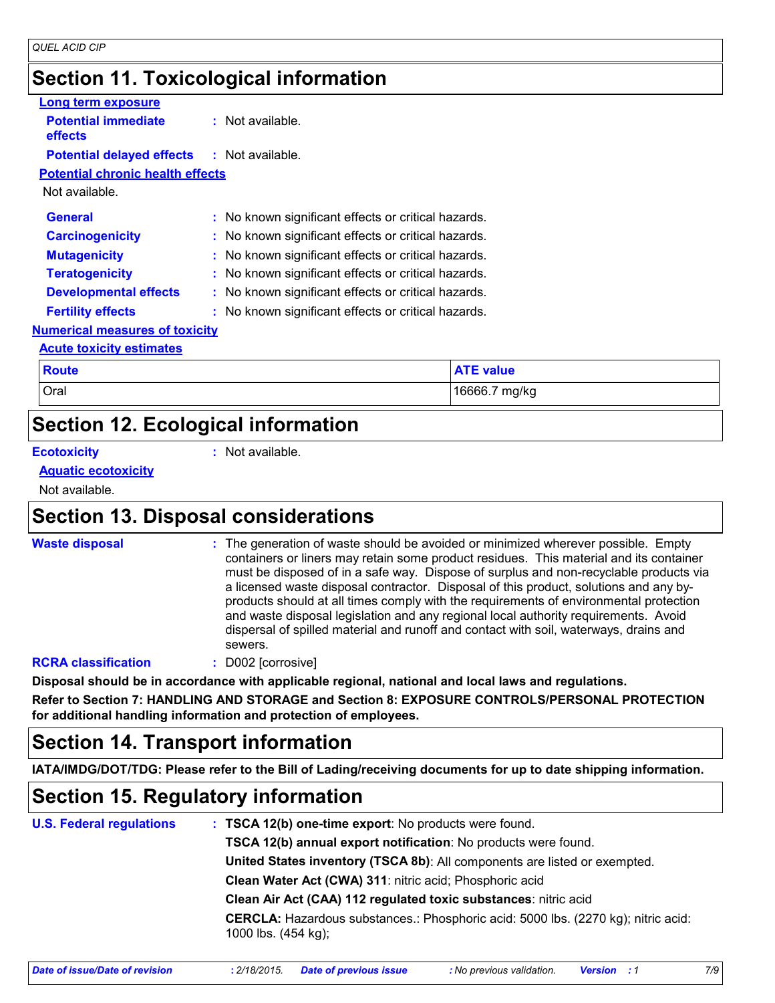# **Section 11. Toxicological information**

| Long term exposure                                |                                                     |                  |
|---------------------------------------------------|-----------------------------------------------------|------------------|
| <b>Potential immediate</b><br>effects             | $:$ Not available.                                  |                  |
| <b>Potential delayed effects : Not available.</b> |                                                     |                  |
| <b>Potential chronic health effects</b>           |                                                     |                  |
| Not available.                                    |                                                     |                  |
| <b>General</b>                                    | : No known significant effects or critical hazards. |                  |
| <b>Carcinogenicity</b>                            | : No known significant effects or critical hazards. |                  |
| <b>Mutagenicity</b>                               | : No known significant effects or critical hazards. |                  |
| <b>Teratogenicity</b>                             | : No known significant effects or critical hazards. |                  |
| <b>Developmental effects</b>                      | : No known significant effects or critical hazards. |                  |
| <b>Fertility effects</b>                          | : No known significant effects or critical hazards. |                  |
| <b>Numerical measures of toxicity</b>             |                                                     |                  |
| <b>Acute toxicity estimates</b>                   |                                                     |                  |
| <b>Route</b>                                      |                                                     | <b>ATE value</b> |

| .    | $\mathbf{r}$ . $\mathbf{r}$ , $\mathbf{r}$ |
|------|--------------------------------------------|
| Oral | 16666.7 mg/kg                              |

### **Section 12. Ecological information**

#### **Ecotoxicity :**

: Not available.

#### **Aquatic ecotoxicity**

Not available.

### **Section 13. Disposal considerations**

| <b>Waste disposa</b> |
|----------------------|
|----------------------|

The generation of waste should be avoided or minimized wherever possible. Empty **Waste disposal :** containers or liners may retain some product residues. This material and its container must be disposed of in a safe way. Dispose of surplus and non-recyclable products via a licensed waste disposal contractor. Disposal of this product, solutions and any byproducts should at all times comply with the requirements of environmental protection and waste disposal legislation and any regional local authority requirements. Avoid dispersal of spilled material and runoff and contact with soil, waterways, drains and sewers.

#### **RCRA classification :** D002 [corrosive]

**Disposal should be in accordance with applicable regional, national and local laws and regulations.**

**Refer to Section 7: HANDLING AND STORAGE and Section 8: EXPOSURE CONTROLS/PERSONAL PROTECTION for additional handling information and protection of employees.**

### **Section 14. Transport information**

**IATA/IMDG/DOT/TDG: Please refer to the Bill of Lading/receiving documents for up to date shipping information.**

### **Section 15. Regulatory information**

| <b>U.S. Federal regulations</b> | : TSCA 12(b) one-time export: No products were found.                                                           |
|---------------------------------|-----------------------------------------------------------------------------------------------------------------|
|                                 | TSCA 12(b) annual export notification: No products were found.                                                  |
|                                 | United States inventory (TSCA 8b): All components are listed or exempted.                                       |
|                                 | Clean Water Act (CWA) 311: nitric acid; Phosphoric acid                                                         |
|                                 | Clean Air Act (CAA) 112 regulated toxic substances: nitric acid                                                 |
|                                 | <b>CERCLA:</b> Hazardous substances.: Phosphoric acid: 5000 lbs. (2270 kg); nitric acid:<br>1000 lbs. (454 kg); |
|                                 |                                                                                                                 |

| Date of issue/Date of revision | : 2/18/2015. Date of previous issue | : No previous validation. | <b>Version</b> : 1 |  |
|--------------------------------|-------------------------------------|---------------------------|--------------------|--|
|--------------------------------|-------------------------------------|---------------------------|--------------------|--|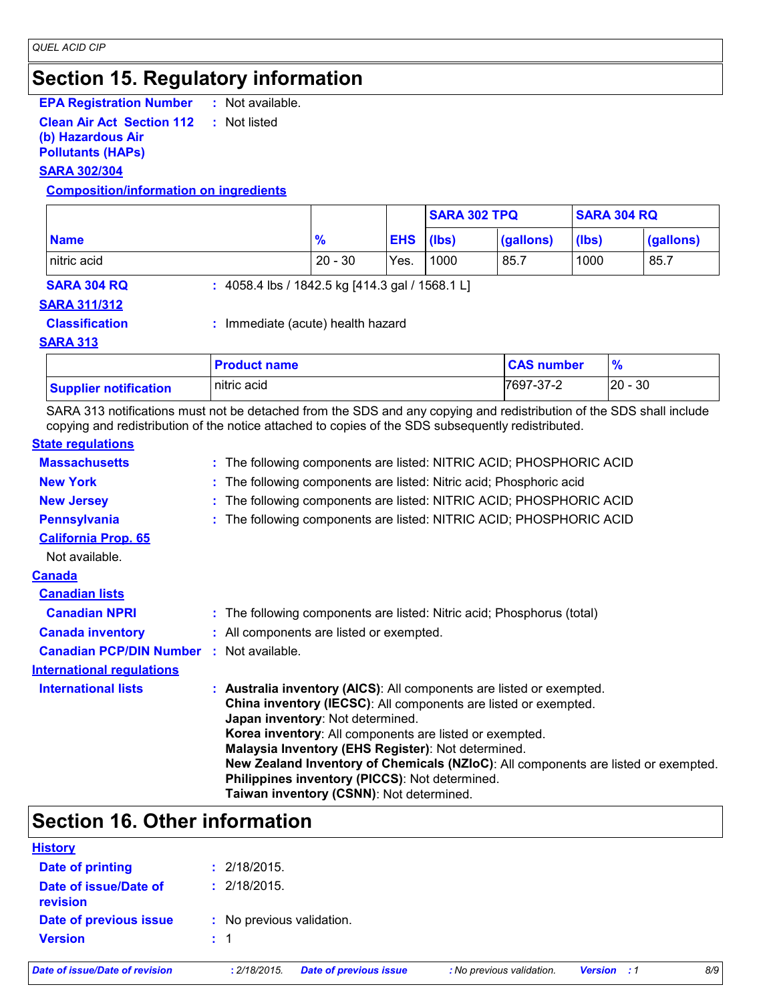## **Section 15. Regulatory information**

**EPA Registration Number :** Not available.

**Clean Air Act Section 112 :** Not listed

**(b) Hazardous Air** 

**Pollutants (HAPs)**

#### **SARA 302/304**

#### **Composition/information on ingredients**

|                    |                                                 |            | <b>SARA 302 TPQ</b> |           | <b>SARA 304 RQ</b> |           |
|--------------------|-------------------------------------------------|------------|---------------------|-----------|--------------------|-----------|
| <b>Name</b>        | $\frac{9}{6}$                                   | <b>EHS</b> | (lbs)               | (gallons) | (lbs)              | (gallons) |
| nitric acid        | $20 - 30$                                       | Yes.       | 1000                | 85.7      | 1000               | 85.7      |
| <b>SARA 304 RQ</b> | : 4058.4 lbs / 1842.5 kg [414.3 gal / 1568.1 L] |            |                     |           |                    |           |
| ADA <i>OAAIOAO</i> |                                                 |            |                     |           |                    |           |

#### **SARA 311/312**

**Classification :** Immediate (acute) health hazard

#### **SARA 313**

|                              | <b>Product name</b> | <b>CAS number</b> | $\frac{9}{6}$ |
|------------------------------|---------------------|-------------------|---------------|
| <b>Supplier notification</b> | nitric acid         | 7697-37-2         | $ 20 - 30 $   |

SARA 313 notifications must not be detached from the SDS and any copying and redistribution of the SDS shall include copying and redistribution of the notice attached to copies of the SDS subsequently redistributed.

#### **State regulations**

| <b>Massachusetts</b>                            | : The following components are listed: NITRIC ACID; PHOSPHORIC ACID                |
|-------------------------------------------------|------------------------------------------------------------------------------------|
| <b>New York</b>                                 | : The following components are listed: Nitric acid; Phosphoric acid                |
| <b>New Jersey</b>                               | : The following components are listed: NITRIC ACID; PHOSPHORIC ACID                |
| <b>Pennsylvania</b>                             | The following components are listed: NITRIC ACID; PHOSPHORIC ACID                  |
| <b>California Prop. 65</b>                      |                                                                                    |
| Not available.                                  |                                                                                    |
| <u>Canada</u>                                   |                                                                                    |
| <b>Canadian lists</b>                           |                                                                                    |
| <b>Canadian NPRI</b>                            | : The following components are listed: Nitric acid; Phosphorus (total)             |
| <b>Canada inventory</b>                         | : All components are listed or exempted.                                           |
| <b>Canadian PCP/DIN Number : Not available.</b> |                                                                                    |
| <b>International regulations</b>                |                                                                                    |
| <b>International lists</b>                      | : Australia inventory (AICS): All components are listed or exempted.               |
|                                                 | China inventory (IECSC): All components are listed or exempted.                    |
|                                                 | Japan inventory: Not determined.                                                   |
|                                                 | Korea inventory: All components are listed or exempted.                            |
|                                                 | Malaysia Inventory (EHS Register): Not determined.                                 |
|                                                 | New Zealand Inventory of Chemicals (NZIoC): All components are listed or exempted. |
|                                                 | Philippines inventory (PICCS): Not determined.                                     |
|                                                 | Taiwan inventory (CSNN): Not determined.                                           |

### **Section 16. Other information**

| <b>Date of issue/Date of revision</b>    | : 2/18/2015.              | <b>Date of previous issue</b> | : No previous validation. | <b>Version</b> : 1 | 8/9 |
|------------------------------------------|---------------------------|-------------------------------|---------------------------|--------------------|-----|
| <b>Version</b>                           | $\pm$ 1                   |                               |                           |                    |     |
| Date of previous issue                   | : No previous validation. |                               |                           |                    |     |
| Date of issue/Date of<br><b>revision</b> | : 2/18/2015.              |                               |                           |                    |     |
| Date of printing                         | : 2/18/2015.              |                               |                           |                    |     |
| <b>History</b>                           |                           |                               |                           |                    |     |